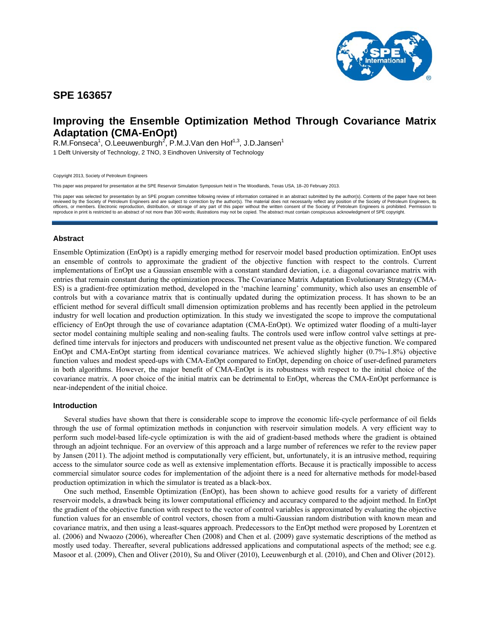

# **SPE 163657**

# **Improving the Ensemble Optimization Method Through Covariance Matrix Adaptation (CMA-EnOpt)**

 $R.M.F$ onseca<sup>1</sup>, O.Leeuwenburgh<sup>2</sup>, P.M.J.Van den Hof<sup>1,3</sup>, J.D.Jansen<sup>1</sup> 1 Delft University of Technology, 2 TNO, 3 Eindhoven University of Technology

Copyright 2013, Society of Petroleum Engineers

This paper was prepared for presentation at the SPE Reservoir Simulation Symposium held in The Woodlands, Texas USA, 18–20 February 2013.

This paper was selected for presentation by an SPE program committee following review of information contained in an abstract submitted by the author(s). Contents of the paper have not been reviewed by the Society of Petroleum Engineers and are subject to correction by the author(s). The material does not necessarily reflect any position of the Society of Petroleum Engineers, its<br>officers, or members. Electro

# **Abstract**

Ensemble Optimization (EnOpt) is a rapidly emerging method for reservoir model based production optimization. EnOpt uses an ensemble of controls to approximate the gradient of the objective function with respect to the controls. Current implementations of EnOpt use a Gaussian ensemble with a constant standard deviation, i.e. a diagonal covariance matrix with entries that remain constant during the optimization process. The Covariance Matrix Adaptation Evolutionary Strategy (CMA-ES) is a gradient-free optimization method, developed in the 'machine learning' community, which also uses an ensemble of controls but with a covariance matrix that is continually updated during the optimization process. It has shown to be an efficient method for several difficult small dimension optimization problems and has recently been applied in the petroleum industry for well location and production optimization. In this study we investigated the scope to improve the computational efficiency of EnOpt through the use of covariance adaptation (CMA-EnOpt). We optimized water flooding of a multi-layer sector model containing multiple sealing and non-sealing faults. The controls used were inflow control valve settings at predefined time intervals for injectors and producers with undiscounted net present value as the objective function. We compared EnOpt and CMA-EnOpt starting from identical covariance matrices. We achieved slightly higher (0.7%-1.8%) objective function values and modest speed-ups with CMA-EnOpt compared to EnOpt, depending on choice of user-defined parameters in both algorithms. However, the major benefit of CMA-EnOpt is its robustness with respect to the initial choice of the covariance matrix. A poor choice of the initial matrix can be detrimental to EnOpt, whereas the CMA-EnOpt performance is near-independent of the initial choice.

#### **Introduction**

Several studies have shown that there is considerable scope to improve the economic life-cycle performance of oil fields through the use of formal optimization methods in conjunction with reservoir simulation models. A very efficient way to perform such model-based life-cycle optimization is with the aid of gradient-based methods where the gradient is obtained through an adjoint technique. For an overview of this approach and a large number of references we refer to the review paper by Jansen (2011). The adjoint method is computationally very efficient, but, unfortunately, it is an intrusive method, requiring access to the simulator source code as well as extensive implementation efforts. Because it is practically impossible to access commercial simulator source codes for implementation of the adjoint there is a need for alternative methods for model-based production optimization in which the simulator is treated as a black-box.

One such method, Ensemble Optimization (EnOpt), has been shown to achieve good results for a variety of different reservoir models, a drawback being its lower computational efficiency and accuracy compared to the adjoint method. In EnOpt the gradient of the objective function with respect to the vector of control variables is approximated by evaluating the objective function values for an ensemble of control vectors, chosen from a multi-Gaussian random distribution with known mean and covariance matrix, and then using a least-squares approach. Predecessors to the EnOpt method were proposed by Lorentzen et al. (2006) and Nwaozo (2006), whereafter Chen (2008) and Chen et al. (2009) gave systematic descriptions of the method as mostly used today. Thereafter, several publications addressed applications and computational aspects of the method; see e.g. Masoor et al. (2009), Chen and Oliver (2010), Su and Oliver (2010), Leeuwenburgh et al. (2010), and Chen and Oliver (2012).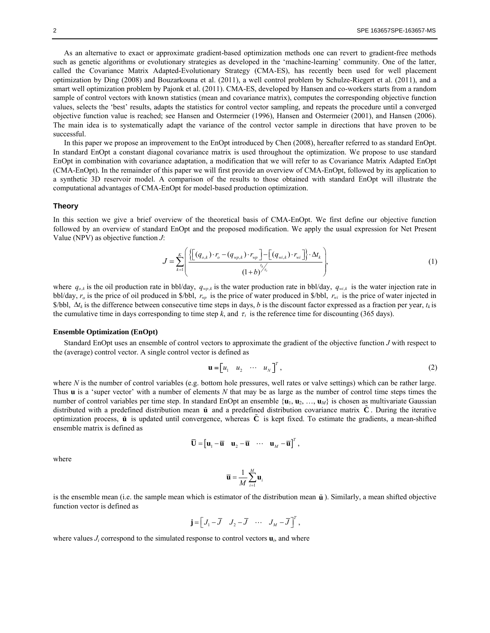As an alternative to exact or approximate gradient-based optimization methods one can revert to gradient-free methods such as genetic algorithms or evolutionary strategies as developed in the 'machine-learning' community. One of the latter, called the Covariance Matrix Adapted-Evolutionary Strategy (CMA-ES), has recently been used for well placement optimization by Ding (2008) and Bouzarkouna et al. (2011), a well control problem by Schulze-Riegert et al. (2011), and a smart well optimization problem by Pajonk et al. (2011). CMA-ES, developed by Hansen and co-workers starts from a random sample of control vectors with known statistics (mean and covariance matrix), computes the corresponding objective function values, selects the 'best' results, adapts the statistics for control vector sampling, and repeats the procedure until a converged objective function value is reached; see Hansen and Ostermeier (1996), Hansen and Ostermeier (2001), and Hansen (2006). The main idea is to systematically adapt the variance of the control vector sample in directions that have proven to be successful.

In this paper we propose an improvement to the EnOpt introduced by Chen (2008), hereafter referred to as standard EnOpt. In standard EnOpt a constant diagonal covariance matrix is used throughout the optimization. We propose to use standard EnOpt in combination with covariance adaptation, a modification that we will refer to as Covariance Matrix Adapted EnOpt (CMA-EnOpt). In the remainder of this paper we will first provide an overview of CMA-EnOpt, followed by its application to a synthetic 3D reservoir model. A comparison of the results to those obtained with standard EnOpt will illustrate the computational advantages of CMA-EnOpt for model-based production optimization.

#### **Theory**

In this section we give a brief overview of the theoretical basis of CMA-EnOpt. We first define our objective function followed by an overview of standard EnOpt and the proposed modification. We apply the usual expression for Net Present Value (NPV) as objective function *J*:

$$
J = \sum_{k=1}^{K} \left( \frac{\left\{ \left[ \left( q_{o,k} \right) \cdot r_o - \left( q_{wp,k} \right) \cdot r_{wp} \right] - \left[ \left( q_{wi,k} \right) \cdot r_{wi} \right] \right\} \cdot \Delta t_k}{\left( 1 + b \right)^{t_{\chi}} \cdot r_{wi}} \right), \tag{1}
$$

where  $q_{o,k}$  is the oil production rate in bbl/day,  $q_{wp,k}$  is the water production rate in bbl/day,  $q_{wi,k}$  is the water injection rate in bbl/day, *ro* is the price of oil produced in \$/bbl, *rwp* is the price of water produced in \$/bbl, *rwi* is the price of water injected in  $\delta/bb$ ,  $\Delta t_k$  is the difference between consecutive time steps in days, *b* is the discount factor expressed as a fraction per year,  $t_k$  is the cumulative time in days corresponding to time step  $k$ , and  $\tau_i$  is the reference time for discounting (365 days).

#### **Ensemble Optimization (EnOpt)**

Standard EnOpt uses an ensemble of control vectors to approximate the gradient of the objective function *J* with respect to the (average) control vector. A single control vector is defined as

$$
\mathbf{u} = \begin{bmatrix} u_1 & u_2 & \cdots & u_N \end{bmatrix}^T, \tag{2}
$$

where *N* is the number of control variables (e.g. bottom hole pressures, well rates or valve settings) which can be rather large. Thus **u** is a 'super vector' with a number of elements *N* that may be as large as the number of control time steps times the number of control variables per time step. In standard EnOpt an ensemble  $\{u_1, u_2, ..., u_M\}$  is chosen as multivariate Gaussian distributed with a predefined distribution mean  $\tilde{u}$  and a predefined distribution covariance matrix  $\tilde{C}$ . During the iterative optimization process, **u** is updated until convergence, whereas **C** is kept fixed. To estimate the gradients, a mean-shifted ensemble matrix is defined as

$$
\overline{\mathbf{U}} = \begin{bmatrix} \mathbf{u}_1 - \overline{\mathbf{u}} & \mathbf{u}_2 - \overline{\mathbf{u}} & \cdots & \mathbf{u}_M - \overline{\mathbf{u}} \end{bmatrix}^T,
$$

where

$$
\overline{\mathbf{u}} = \frac{1}{M} \sum_{i=1}^{M} \mathbf{u}_i
$$

is the ensemble mean (i.e. the sample mean which is estimator of the distribution mean **u** ). Similarly, a mean shifted objective function vector is defined as

$$
\mathbf{j} = \begin{bmatrix} J_1 - \overline{J} & J_2 - \overline{J} & \cdots & J_M - \overline{J} \end{bmatrix}^T,
$$

where values  $J_i$  correspond to the simulated response to control vectors  $\mathbf{u}_i$ , and where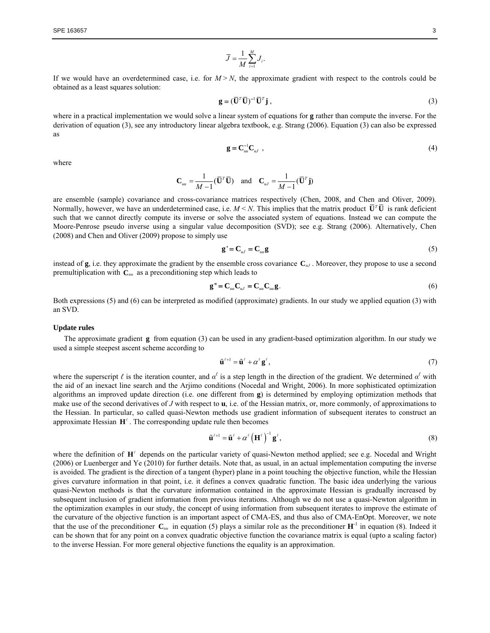$$
\overline{J} = \frac{1}{M} \sum_{i=1}^{M} J_i.
$$

If we would have an overdetermined case, i.e. for  $M > N$ , the approximate gradient with respect to the controls could be obtained as a least squares solution:

$$
\mathbf{g} = (\mathbf{\bar{U}}^T \mathbf{\bar{U}})^{-1} \mathbf{\bar{U}}^T \mathbf{j} , \qquad (3)
$$

where in a practical implementation we would solve a linear system of equations for **g** rather than compute the inverse. For the derivation of equation (3), see any introductory linear algebra textbook, e.g. Strang (2006). Equation (3) can also be expressed as

$$
\mathbf{g} = \mathbf{C}_{uu}^{-1} \mathbf{C}_{uJ} \tag{4}
$$

where

$$
\mathbf{C}_{uu} = \frac{1}{M-1} (\mathbf{\overline{U}}^T \mathbf{\overline{U}}) \quad \text{and} \quad \mathbf{C}_{uJ} = \frac{1}{M-1} (\mathbf{\overline{U}}^T \mathbf{j})
$$

are ensemble (sample) covariance and cross-covariance matrices respectively (Chen, 2008, and Chen and Oliver, 2009). Normally, however, we have an underdetermined case, i.e.  $M < N$ . This implies that the matrix product  $\mathbf{U}^T\mathbf{U}$  is rank deficient such that we cannot directly compute its inverse or solve the associated system of equations. Instead we can compute the Moore-Penrose pseudo inverse using a singular value decomposition (SVD); see e.g. Strang (2006). Alternatively, Chen (2008) and Chen and Oliver (2009) propose to simply use

$$
\mathbf{g}' = \mathbf{C}_{uJ} = \mathbf{C}_{uu}\mathbf{g} \tag{5}
$$

instead of **g**, i.e. they approximate the gradient by the ensemble cross covariance  $\mathbf{C}_{\mu}$ . Moreover, they propose to use a second premultiplication with **C***uu* as a preconditioning step which leads to

$$
\mathbf{g}^{\prime\prime} = \mathbf{C}_{uu} \mathbf{C}_{uJ} = \mathbf{C}_{uu} \mathbf{C}_{uu} \mathbf{g}.
$$
 (6)

Both expressions (5) and (6) can be interpreted as modified (approximate) gradients. In our study we applied equation (3) with an SVD.

#### **Update rules**

The approximate gradient **g** from equation (3) can be used in any gradient-based optimization algorithm. In our study we used a simple steepest ascent scheme according to

$$
\tilde{\mathbf{u}}^{\ell+1} = \tilde{\mathbf{u}}^{\ell} + \alpha^{\ell} \mathbf{g}^{\ell},\tag{7}
$$

where the superscript  $\ell$  is the iteration counter, and  $\alpha^{\ell}$  is a step length in the direction of the gradient. We determined  $\alpha^{\ell}$  with the aid of an inexact line search and the Arjimo conditions (Nocedal and Wright, 2006). In more sophisticated optimization algorithms an improved update direction (i.e. one different from **g**) is determined by employing optimization methods that make use of the second derivatives of *J* with respect to **u**, i.e. of the Hessian matrix, or, more commonly, of approximations to the Hessian. In particular, so called quasi-Newton methods use gradient information of subsequent iterates to construct an approximate Hessian  $H^{\ell}$ . The corresponding update rule then becomes

$$
\tilde{\mathbf{u}}^{\ell+1} = \tilde{\mathbf{u}}^{\ell} + \alpha^{\ell} \left( \mathbf{H}^{\ell} \right)^{-1} \mathbf{g}^{\ell},\tag{8}
$$

where the definition of  $\mathbf{H}^{\ell}$  depends on the particular variety of quasi-Newton method applied; see e.g. Nocedal and Wright (2006) or Luenberger and Ye (2010) for further details. Note that, as usual, in an actual implementation computing the inverse is avoided. The gradient is the direction of a tangent (hyper) plane in a point touching the objective function, while the Hessian gives curvature information in that point, i.e. it defines a convex quadratic function. The basic idea underlying the various quasi-Newton methods is that the curvature information contained in the approximate Hessian is gradually increased by subsequent inclusion of gradient information from previous iterations. Although we do not use a quasi-Newton algorithm in the optimization examples in our study, the concept of using information from subsequent iterates to improve the estimate of the curvature of the objective function is an important aspect of CMA-ES, and thus also of CMA-EnOpt. Moreover, we note that the use of the preconditioner  $C_{uu}$  in equation (5) plays a similar role as the preconditioner  $H^{-1}$  in equation (8). Indeed it can be shown that for any point on a convex quadratic objective function the covariance matrix is equal (upto a scaling factor) to the inverse Hessian. For more general objective functions the equality is an approximation.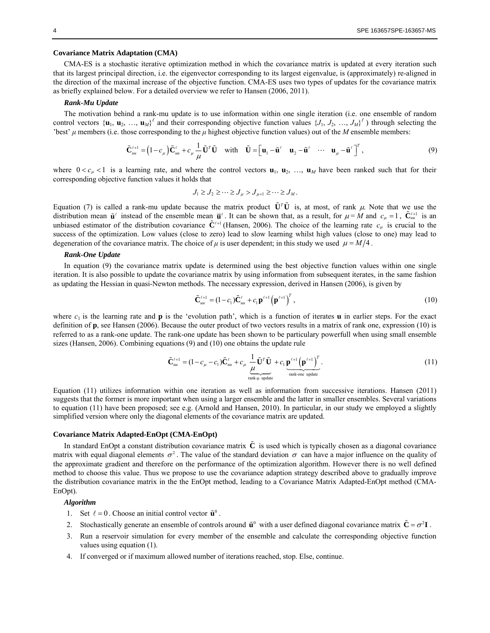## **Covariance Matrix Adaptation (CMA)**

CMA-ES is a stochastic iterative optimization method in which the covariance matrix is updated at every iteration such that its largest principal direction, i.e. the eigenvector corresponding to its largest eigenvalue, is (approximately) re-aligned in the direction of the maximal increase of the objective function. CMA-ES uses two types of updates for the covariance matrix as briefly explained below. For a detailed overview we refer to Hansen (2006, 2011).

#### *Rank-Mu Update*

The motivation behind a rank-mu update is to use information within one single iteration (i.e. one ensemble of random control vectors  $\{\mathbf{u}_1, \mathbf{u}_2, ..., \mathbf{u}_M\}^{\ell}$  and their corresponding objective function values  $\{J_1, J_2, ..., J_M\}^{\ell}$ ) through selecting the 'best'  $\mu$  members (i.e. those corresponding to the  $\mu$  highest objective function values) out of the *M* ensemble members:

$$
\tilde{\mathbf{C}}_{uu}^{\ell+1} = (1 - c_{\mu}) \tilde{\mathbf{C}}_{uu}^{\ell} + c_{\mu} \frac{1}{\mu} \tilde{\mathbf{U}}^T \tilde{\mathbf{U}} \text{ with } \tilde{\mathbf{U}} = \begin{bmatrix} \mathbf{u}_1 - \tilde{\mathbf{u}}^{\ell} & \mathbf{u}_2 - \tilde{\mathbf{u}}^{\ell} & \cdots & \mathbf{u}_{\mu} - \tilde{\mathbf{u}}^{\ell} \end{bmatrix}^T, \qquad (9)
$$

where  $0 < c_{\mu} < 1$  is a learning rate, and where the control vectors  $\mathbf{u}_1, \mathbf{u}_2, \ldots, \mathbf{u}_M$  have been ranked such that for their corresponding objective function values it holds that

$$
J_1 \geq J_2 \geq \cdots \geq J_{\mu} > J_{\mu+1} \geq \cdots \geq J_M.
$$

Equation (7) is called a rank-mu update because the matrix product  $\tilde{\mathbf{U}}^T\tilde{\mathbf{U}}$  is, at most, of rank  $\mu$ . Note that we use the distribution mean  $\tilde{\mathbf{u}}^{\ell}$  instead of the ensemble mean  $\overline{\mathbf{u}}^{\ell}$ . It can be shown that, as a result, for  $\mu = M$  and  $c_{\mu} = 1$ ,  $\tilde{\mathbf{C}}_{uu}^{\ell+1}$  is an unbiased estimator of the distribution covariance  $\tilde{C}^{i+1}$  (Hansen, 2006). The choice of the learning rate  $c_u$  is crucial to the success of the optimization. Low values (close to zero) lead to slow learning whilst high values (close to one) may lead to degeneration of the covariance matrix. The choice of  $\mu$  is user dependent; in this study we used  $\mu = M/4$ .

#### *Rank-One Update*

In equation (9) the covariance matrix update is determined using the best objective function values within one single iteration. It is also possible to update the covariance matrix by using information from subsequent iterates, in the same fashion as updating the Hessian in quasi-Newton methods. The necessary expression, derived in Hansen (2006), is given by

$$
\tilde{\mathbf{C}}_{uu}^{\ell+1} = (1 - c_1) \tilde{\mathbf{C}}_{uu}^{\ell} + c_1 \mathbf{p}^{\ell+1} \left( \mathbf{p}^{\ell+1} \right)^T, \tag{10}
$$

where  $c_1$  is the learning rate and **p** is the 'evolution path', which is a function of iterates **u** in earlier steps. For the exact definition of **p**, see Hansen (2006). Because the outer product of two vectors results in a matrix of rank one, expression (10) is referred to as a rank-one update. The rank-one update has been shown to be particulary powerfull when using small ensemble sizes (Hansen, 2006). Combining equations (9) and (10) one obtains the update rule

$$
\tilde{\mathbf{C}}_{uu}^{\ell+1} = (1 - c_{\mu} - c_1) \tilde{\mathbf{C}}_{uu}^{\ell} + c_{\mu} \underbrace{\frac{1}{\mu} \tilde{\mathbf{U}}^T \tilde{\mathbf{U}}}_{\text{rank-}\mu \text{ update}} + c_1 \underbrace{\mathbf{p}^{\ell+1} \left(\mathbf{p}^{\ell+1}\right)^T}_{\text{rank-}\mu \text{ update}}.
$$
\n(11)

Equation (11) utilizes information within one iteration as well as information from successive iterations. Hansen (2011) suggests that the former is more important when using a larger ensemble and the latter in smaller ensembles. Several variations to equation (11) have been proposed; see e.g. (Arnold and Hansen, 2010). In particular, in our study we employed a slightly simplified version where only the diagonal elements of the covariance matrix are updated.

## **Covariance Matrix Adapted-EnOpt (CMA-EnOpt)**

In standard EnOpt a constant distribution covariance matrix  $\tilde{C}$  is used which is typically chosen as a diagonal covariance matrix with equal diagonal elements  $\sigma^2$ . The value of the standard deviation  $\sigma$  can have a major influence on the quality of the approximate gradient and therefore on the performance of the optimization algorithm. However there is no well defined method to choose this value. Thus we propose to use the covariance adaption strategy described above to gradually improve the distribution covariance matrix in the the EnOpt method, leading to a Covariance Matrix Adapted-EnOpt method (CMA-EnOpt).

#### *Algorithm*

- 1. Set  $\ell = 0$ . Choose an initial control vector  $\tilde{\mathbf{u}}^0$ .
- 2. Stochastically generate an ensemble of controls around  $\tilde{\mathbf{u}}^0$  with a user defined diagonal covariance matrix  $\tilde{\mathbf{C}} = \sigma^2 \mathbf{I}$ .
- 3. Run a reservoir simulation for every member of the ensemble and calculate the corresponding objective function values using equation (1).
- 4. If converged or if maximum allowed number of iterations reached, stop. Else, continue.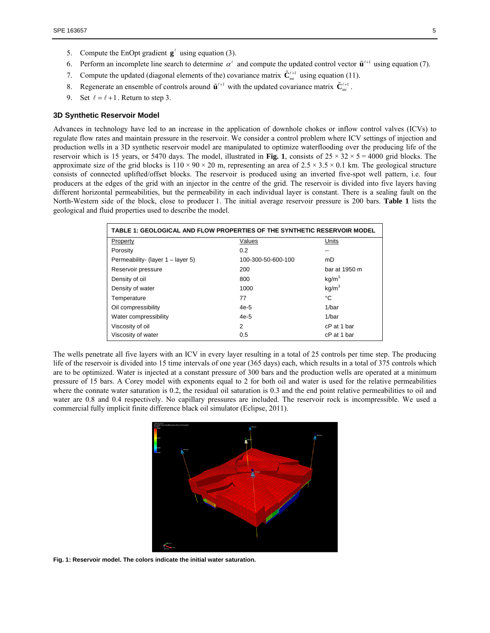- 5. Compute the EnOpt gradient  $\mathbf{g}^{\ell}$  using equation (3).
- 6. Perform an incomplete line search to determine  $\alpha^{\ell}$  and compute the updated control vector  $\tilde{\mathbf{u}}^{\ell+1}$  using equation (7).
- 7. Compute the updated (diagonal elements of the) covariance matrix  $\tilde{\mathbf{C}}_{uu}^{(l+1)}$  using equation (11).
- 8. Regenerate an ensemble of controls around  $\tilde{\mathbf{u}}^{t+1}$  with the updated covariance matrix  $\tilde{\mathbf{C}}_{uu}^{t+1}$ .
- 9. Set  $\ell = \ell + 1$ . Return to step 3.

# **3D Synthetic Reservoir Model**

Advances in technology have led to an increase in the application of downhole chokes or inflow control valves (ICVs) to regulate flow rates and maintain pressure in the reservoir. We consider a control problem where ICV settings of injection and production wells in a 3D synthetic reservoir model are manipulated to optimize waterflooding over the producing life of the reservoir which is 15 years, or 5470 days. The model, illustrated in Fig. 1, consists of  $25 \times 32 \times 5 = 4000$  grid blocks. The approximate size of the grid blocks is  $110 \times 90 \times 20$  m, representing an area of  $2.5 \times 3.5 \times 0.1$  km. The geological structure consists of connected uplifted/offset blocks. The reservoir is produced using an inverted five-spot well pattern, i.e. four producers at the edges of the grid with an injector in the centre of the grid. The reservoir is divided into five layers having different horizontal permeabilities, but the permeability in each individual layer is constant. There is a sealing fault on the North-Western side of the block, close to producer 1. The initial average reservoir pressure is 200 bars. **Table 1** lists the geological and fluid properties used to describe the model.

| TABLE 1: GEOLOGICAL AND FLOW PROPERTIES OF THE SYNTHETIC RESERVOIR MODEL |                    |                   |
|--------------------------------------------------------------------------|--------------------|-------------------|
| Property                                                                 | Values             | Units             |
| Porosity                                                                 | 0.2                | --                |
| Permeability- (layer 1 – layer 5)                                        | 100-300-50-600-100 | mD                |
| Reservoir pressure                                                       | 200                | bar at 1950 m     |
| Density of oil                                                           | 800                | kg/m <sup>3</sup> |
| Density of water                                                         | 1000               | kg/m <sup>3</sup> |
| Temperature                                                              | 77                 | °C                |
| Oil compressibility                                                      | $4e-5$             | 1/bar             |
| Water compressibility                                                    | $4e-5$             | 1/bar             |
| Viscosity of oil                                                         | $\overline{2}$     | cP at 1 bar       |
| Viscosity of water                                                       | 0.5                | cP at 1 bar       |

The wells penetrate all five layers with an ICV in every layer resulting in a total of 25 controls per time step. The producing life of the reservoir is divided into 15 time intervals of one year (365 days) each, which results in a total of 375 controls which are to be optimized. Water is injected at a constant pressure of 300 bars and the production wells are operated at a minimum pressure of 15 bars. A Corey model with exponents equal to 2 for both oil and water is used for the relative permeabilities where the connate water saturation is 0.2, the residual oil saturation is 0.3 and the end point relative permeabilities to oil and water are 0.8 and 0.4 respectively. No capillary pressures are included. The reservoir rock is incompressible. We used a commercial fully implicit finite difference black oil simulator (Eclipse, 2011).



**Fig. 1: Reservoir model. The colors indicate the initial water saturation.**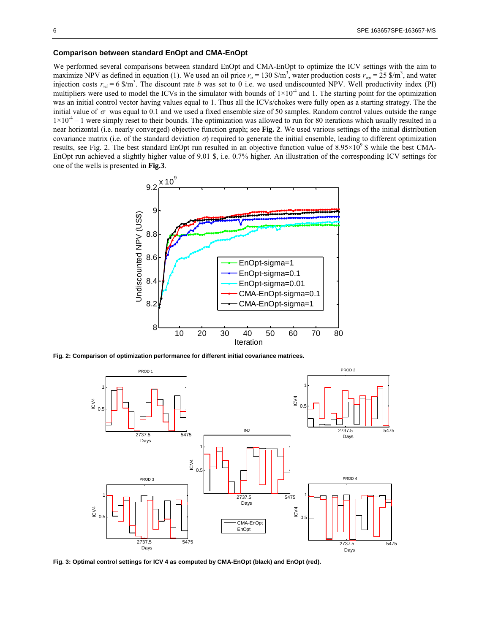## **Comparison between standard EnOpt and CMA-EnOpt**

We performed several comparisons between standard EnOpt and CMA-EnOpt to optimize the ICV settings with the aim to maximize NPV as defined in equation (1). We used an oil price  $r_o = 130 \text{ m}^3$ , water production costs  $r_{wp} = 25 \text{ s/m}^3$ , and water injection costs  $r_{wi} = 6 \text{ S/m}^3$ . The discount rate *b* was set to 0 i.e. we used undiscounted NPV. Well productivity index (PI) multipliers were used to model the ICVs in the simulator with bounds of  $1\times10^{-4}$  and 1. The starting point for the optimization was an initial control vector having values equal to 1. Thus all the ICVs/chokes were fully open as a starting strategy. The the initial value of  $\sigma$  was equal to 0.1 and we used a fixed ensemble size of 50 samples. Random control values outside the range  $1\times10^{-4}$  – 1 were simply reset to their bounds. The optimization was allowed to run for 80 iterations which usually resulted in a near horizontal (i.e. nearly converged) objective function graph; see **Fig. 2**. We used various settings of the initial distribution covariance matrix (i.e. of the standard deviation  $\sigma$ ) required to generate the initial ensemble, leading to different optimization results, see Fig. 2. The best standard EnOpt run resulted in an objective function value of  $8.95\times10^{9}$  \$ while the best CMA-EnOpt run achieved a slightly higher value of 9.01 \$, i.e. 0.7% higher. An illustration of the corresponding ICV settings for one of the wells is presented in **Fig.3**.



**Fig. 2: Comparison of optimization performance for different initial covariance matrices.** 



**Fig. 3: Optimal control settings for ICV 4 as computed by CMA-EnOpt (black) and EnOpt (red).**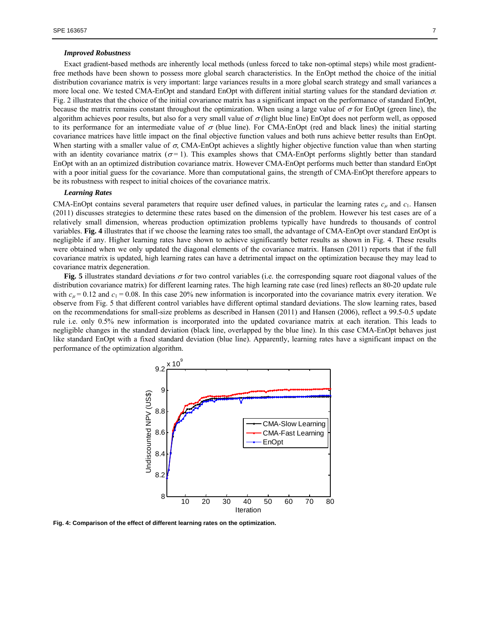#### *Improved Robustness*

Exact gradient-based methods are inherently local methods (unless forced to take non-optimal steps) while most gradientfree methods have been shown to possess more global search characteristics. In the EnOpt method the choice of the initial distribution covariance matrix is very important: large variances results in a more global search strategy and small variances a more local one. We tested CMA-EnOpt and standard EnOpt with different initial starting values for the standard deviation  $\sigma$ . Fig. 2 illustrates that the choice of the initial covariance matrix has a significant impact on the performance of standard EnOpt, because the matrix remains constant throughout the optimization. When using a large value of  $\sigma$  for EnOpt (green line), the algorithm achieves poor results, but also for a very small value of  $\sigma$  (light blue line) EnOpt does not perform well, as opposed to its performance for an intermediate value of  $\sigma$  (blue line). For CMA-EnOpt (red and black lines) the initial starting covariance matrices have little impact on the final objective function values and both runs achieve better results than EnOpt. When starting with a smaller value of  $\sigma$ , CMA-EnOpt achieves a slightly higher objective function value than when starting with an identity covariance matrix ( $\sigma$ =1). This examples shows that CMA-EnOpt performs slightly better than standard EnOpt with an an optimized distribution covariance matrix. However CMA-EnOpt performs much better than standard EnOpt with a poor initial guess for the covariance. More than computational gains, the strength of CMA-EnOpt therefore appears to be its robustness with respect to initial choices of the covariance matrix.

#### *Learning Rates*

CMA-EnOpt contains several parameters that require user defined values, in particular the learning rates  $c_u$  and  $c_1$ . Hansen (2011) discusses strategies to determine these rates based on the dimension of the problem. However his test cases are of a relatively small dimension, whereas production optimization problems typically have hundreds to thousands of control variables. **Fig. 4** illustrates that if we choose the learning rates too small, the advantage of CMA-EnOpt over standard EnOpt is negligible if any. Higher learning rates have shown to achieve significantly better results as shown in Fig. 4. These results were obtained when we only updated the diagonal elements of the covariance matrix. Hansen (2011) reports that if the full covariance matrix is updated, high learning rates can have a detrimental impact on the optimization because they may lead to covariance matrix degeneration.

**Fig. 5** illustrates standard deviations  $\sigma$  for two control variables (i.e. the corresponding square root diagonal values of the distribution covariance matrix) for different learning rates. The high learning rate case (red lines) reflects an 80-20 update rule with  $c_{\mu}$  = 0.12 and  $c_1$  = 0.08. In this case 20% new information is incorporated into the covariance matrix every iteration. We observe from Fig. 5 that different control variables have different optimal standard deviations. The slow learning rates, based on the recommendations for small-size problems as described in Hansen (2011) and Hansen (2006), reflect a 99.5-0.5 update rule i.e. only 0.5% new information is incorporated into the updated covariance matrix at each iteration. This leads to negligible changes in the standard deviation (black line, overlapped by the blue line). In this case CMA-EnOpt behaves just like standard EnOpt with a fixed standard deviation (blue line). Apparently, learning rates have a significant impact on the performance of the optimization algorithm.



**Fig. 4: Comparison of the effect of different learning rates on the optimization.**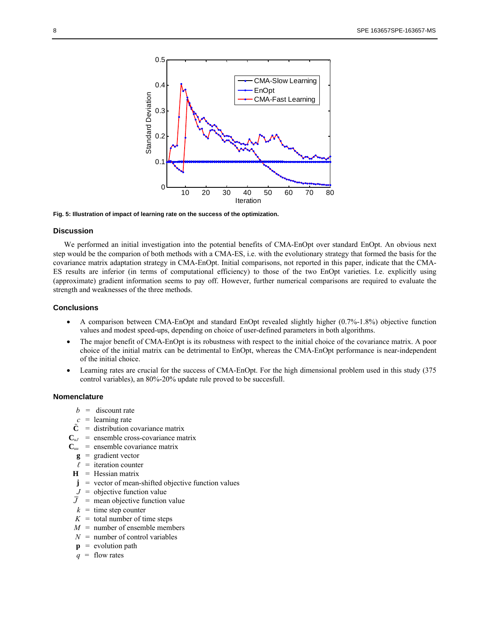

**Fig. 5: Illustration of impact of learning rate on the success of the optimization.** 

## **Discussion**

We performed an initial investigation into the potential benefits of CMA-EnOpt over standard EnOpt. An obvious next step would be the comparion of both methods with a CMA-ES, i.e. with the evolutionary strategy that formed the basis for the covariance matrix adaptation strategy in CMA-EnOpt. Initial comparisons, not reported in this paper, indicate that the CMA-ES results are inferior (in terms of computational efficiency) to those of the two EnOpt varieties. I.e. explicitly using (approximate) gradient information seems to pay off. However, further numerical comparisons are required to evaluate the strength and weaknesses of the three methods.

# **Conclusions**

- A comparison between CMA-EnOpt and standard EnOpt revealed slightly higher (0.7%-1.8%) objective function values and modest speed-ups, depending on choice of user-defined parameters in both algorithms.
- The major benefit of CMA-EnOpt is its robustness with respect to the initial choice of the covariance matrix. A poor choice of the initial matrix can be detrimental to EnOpt, whereas the CMA-EnOpt performance is near-independent of the initial choice.
- Learning rates are crucial for the success of CMA-EnOpt. For the high dimensional problem used in this study (375) control variables), an 80%-20% update rule proved to be succesfull.

# **Nomenclature**

- $b =$  discount rate
- $c =$  learning rate
- $\tilde{\mathbf{C}}$  = distribution covariance matrix
- $C_{uJ}$  = ensemble cross-covariance matrix
- $C_{uu}$  = ensemble covariance matrix
	- **g** *=* gradient vector
	- *ℓ =* iteration counter
- **H** *=* Hessian matrix
- **j** *=* vector of mean-shifted objective function values
- *J =* objective function value
- $\bar{J}$  = mean objective function value
- $k =$  time step counter
- $K =$  total number of time steps
- $M =$  number of ensemble members
- $N =$  number of control variables
- **p** *=* evolution path
- $q =$  flow rates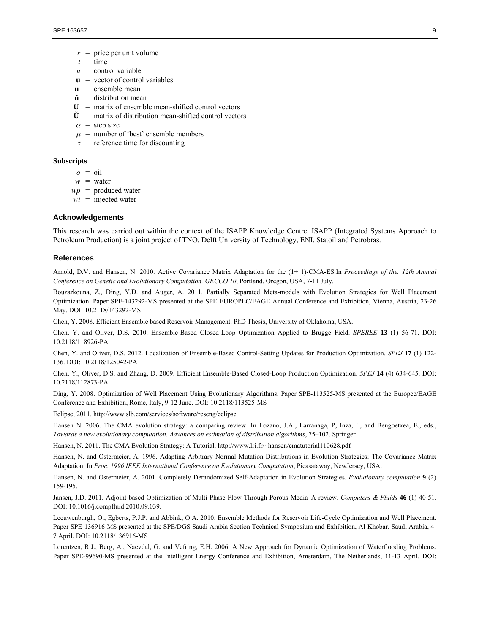- $r =$  price per unit volume
- $t = \text{time}$
- $u =$  control variable
- **u** *=* vector of control variables
- $\overline{\mathbf{u}}$  = ensemble mean
- $\tilde{\mathbf{u}}$  = distribution mean
- $\overline{U}$  = matrix of ensemble mean-shifted control vectors
- $\tilde{\mathbf{U}}$  = matrix of distribution mean-shifted control vectors
- $\alpha$  = step size
- $\mu$  = number of 'best' ensemble members
- $\tau$  = reference time for discounting

# **Subscripts**

- $\rho = \text{oil}$
- $w =$ water
- *wp =* produced water
- $w_i$  = injected water

#### **Acknowledgements**

This research was carried out within the context of the ISAPP Knowledge Centre. ISAPP (Integrated Systems Approach to Petroleum Production) is a joint project of TNO, Delft University of Technology, ENI, Statoil and Petrobras.

### **References**

Arnold, D.V. and Hansen, N. 2010. Active Covariance Matrix Adaptation for the (1+ 1)-CMA-ES.In *Proceedings of the. 12th Annual Conference on Genetic and Evolutionary Computation. GECCO'10*, Portland, Oregon, USA, 7-11 July.

Bouzarkouna, Z., Ding, Y.D. and Auger, A. 2011. Partially Separated Meta-models with Evolution Strategies for Well Placement Optimization. Paper SPE-143292-MS presented at the SPE EUROPEC/EAGE Annual Conference and Exhibition, Vienna, Austria, 23-26 May. DOI: 10.2118/143292-MS

Chen, Y. 2008. Efficient Ensemble based Reservoir Management. PhD Thesis, University of Oklahoma, USA.

Chen, Y. and Oliver, D.S. 2010. Ensemble-Based Closed-Loop Optimization Applied to Brugge Field. *SPEREE* **13** (1) 56-71. DOI: 10.2118/118926-PA

Chen, Y. and Oliver, D.S. 2012. Localization of Ensemble-Based Control-Setting Updates for Production Optimization. *SPEJ* **17** (1) 122- 136. DOI: 10.2118/125042-PA

Chen, Y., Oliver, D.S. and Zhang, D. 2009. Efficient Ensemble-Based Closed-Loop Production Optimization. *SPEJ* **14** (4) 634-645. DOI: 10.2118/112873-PA

Ding, Y. 2008. Optimization of Well Placement Using Evolutionary Algorithms. Paper SPE-113525-MS presented at the Europec/EAGE Conference and Exhibition, Rome, Italy, 9-12 June. DOI: 10.2118/113525-MS

Eclipse, 2011. http://www.slb.com/services/software/reseng/eclipse

Hansen N. 2006. The CMA evolution strategy: a comparing review. In Lozano, J.A., Larranaga, P, Inza, I., and Bengoetxea, E., eds., *Towards a new evolutionary computation. Advances on estimation of distribution algorithms*, 75–102. Springer

Hansen, N. 2011. The CMA Evolution Strategy: A Tutorial. http://www.lri.fr/~hansen/cmatutorial110628.pdf

Hansen, N. and Ostermeier, A. 1996. Adapting Arbitrary Normal Mutation Distributions in Evolution Strategies: The Covariance Matrix Adaptation. In *Proc. 1996 IEEE International Conference on Evolutionary Computation*, Picasataway, NewJersey, USA.

Hansen, N. and Ostermeier, A. 2001. Completely Derandomized Self-Adaptation in Evolution Strategies. *Evolutionary computation* **9** (2) 159-195.

Jansen, J.D. 2011. Adjoint-based Optimization of Multi-Phase Flow Through Porous Media–A review. *Computers & Fluids* **46** (1) 40-51. DOI: 10.1016/j.compfluid.2010.09.039.

Leeuwenburgh, O., Egberts, P.J.P. and Abbink, O.A. 2010. Ensemble Methods for Reservoir Life-Cycle Optimization and Well Placement. Paper SPE-136916-MS presented at the SPE/DGS Saudi Arabia Section Technical Symposium and Exhibition, Al-Khobar, Saudi Arabia, 4- 7 April. DOI: 10.2118/136916-MS

Lorentzen, R.J., Berg, A., Naevdal, G. and Vefring, E.H. 2006. A New Approach for Dynamic Optimization of Waterflooding Problems. Paper SPE-99690-MS presented at the Intelligent Energy Conference and Exhibition, Amsterdam, The Netherlands, 11-13 April. DOI: